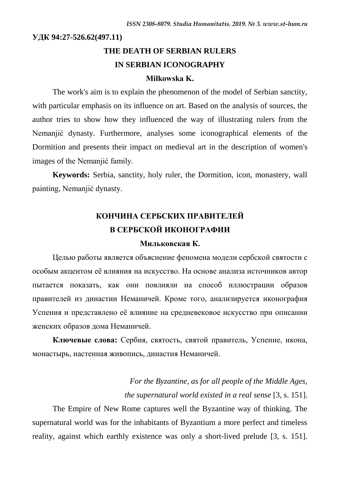**УДК 94:27-526.62(497.11)**

# **THE DEATH OF SERBIAN RULERS IN SERBIAN ICONOGRAPHY**

#### **Miłkowska K.**

The work's aim is to explain the phenomenon of the model of Serbian sanctity, with particular emphasis on its influence on art. Based on the analysis of sources, the author tries to show how they influenced the way of illustrating rulers from the Nemanjić dynasty. Furthermore, analyses some iconographical elements of the Dormition and presents their impact on medieval art in the description of women's images of the Nemanjić family.

**Keywords:** Serbia, sanctity, holy ruler, the Dormition, icon, monastery, wall painting, Nemanjić dynasty.

# **КОНЧИНА СЕРБСКИХ ПРАВИТЕЛЕЙ В СЕРБСКОЙ ИКОНОГРАФИИ**

#### **Мильковская К.**

Целью работы является объяснение феномена модели сербской святости с особым акцентом её влияния на искусство. На основе анализа источников автор пытается показать, как они повлияли на способ иллюстрации образов правителей из династии Неманичей. Кроме того, анализируется иконография Успения и представлено её влияние на средневековое искусство при описании женских образов дома Неманичей.

**Ключевые слова:** Сербия, святость, святой правитель, Успение, икона, монастырь, настенная живопись, династия Неманичей.

> *For the Byzantine, as for all people of the Middle Ages, the supernatural world existed in a real sense* [3, s. 151].

The Empire of New Rome captures well the Byzantine way of thinking. The supernatural world was for the inhabitants of Byzantium a more perfect and timeless reality, against which earthly existence was only a short-lived prelude [3, s. 151].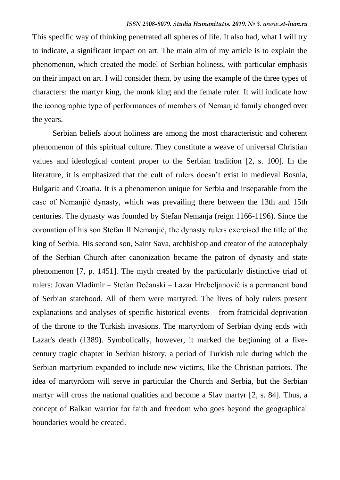This specific way of thinking penetrated all spheres of life. It also had, what I will try to indicate, a significant impact on art. The main aim of my article is to explain the phenomenon, which created the model of Serbian holiness, with particular emphasis on their impact on art. I will consider them, by using the example of the three types of characters: the martyr king, the monk king and the female ruler. It will indicate how the iconographic type of performances of members of Nemanjić family changed over the years.

Serbian beliefs about holiness are among the most characteristic and coherent phenomenon of this spiritual culture. They constitute a weave of universal Christian values and ideological content proper to the Serbian tradition [2, s. 100]. In the literature, it is emphasized that the cult of rulers doesn't exist in medieval Bosnia, Bulgaria and Croatia. It is a phenomenon unique for Serbia and inseparable from the case of Nemanjić dynasty, which was prevailing there between the 13th and 15th centuries. The dynasty was founded by Stefan Nemanja (reign 1166-1196). Since the coronation of his son Stefan II Nemanjić, the dynasty rulers exercised the title of the king of Serbia. His second son, Saint Sava, archbishop and creator of the autocephaly of the Serbian Church after canonization became the patron of dynasty and state phenomenon [7, p. 1451]. The myth created by the particularly distinctive triad of rulers: Jovan Vladimir – Stefan Dečanski – Lazar Hrebeljanović is a permanent bond of Serbian statehood. All of them were martyred. The lives of holy rulers present explanations and analyses of specific historical events – from fratricidal deprivation of the throne to the Turkish invasions. The martyrdom of Serbian dying ends with Lazar's death (1389). Symbolically, however, it marked the beginning of a fivecentury tragic chapter in Serbian history, a period of Turkish rule during which the Serbian martyrium expanded to include new victims, like the Christian patriots. The idea of martyrdom will serve in particular the Church and Serbia, but the Serbian martyr will cross the national qualities and become a Slav martyr [2, s. 84]. Thus, a concept of Balkan warrior for faith and freedom who goes beyond the geographical boundaries would be created.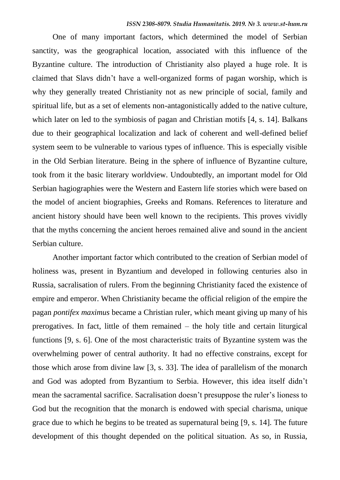One of many important factors, which determined the model of Serbian sanctity, was the geographical location, associated with this influence of the Byzantine culture. The introduction of Christianity also played a huge role. It is claimed that Slavs didn't have a well-organized forms of pagan worship, which is why they generally treated Christianity not as new principle of social, family and spiritual life, but as a set of elements non-antagonistically added to the native culture, which later on led to the symbiosis of pagan and Christian motifs [4, s. 14]. Balkans due to their geographical localization and lack of coherent and well-defined belief system seem to be vulnerable to various types of influence. This is especially visible in the Old Serbian literature. Being in the sphere of influence of Byzantine culture, took from it the basic literary worldview. Undoubtedly, an important model for Old Serbian hagiographies were the Western and Eastern life stories which were based on the model of ancient biographies, Greeks and Romans. References to literature and ancient history should have been well known to the recipients. This proves vividly that the myths concerning the ancient heroes remained alive and sound in the ancient Serbian culture.

Another important factor which contributed to the creation of Serbian model of holiness was, present in Byzantium and developed in following centuries also in Russia, sacralisation of rulers. From the beginning Christianity faced the existence of empire and emperor. When Christianity became the official religion of the empire the pagan *pontifex maximus* became a Christian ruler, which meant giving up many of his prerogatives. In fact, little of them remained – the holy title and certain liturgical functions [9, s. 6]. One of the most characteristic traits of Byzantine system was the overwhelming power of central authority. It had no effective constrains, except for those which arose from divine law [3, s. 33]. The idea of parallelism of the monarch and God was adopted from Byzantium to Serbia. However, this idea itself didn't mean the sacramental sacrifice. Sacralisation doesn't presuppose the ruler's lioness to God but the recognition that the monarch is endowed with special charisma, unique grace due to which he begins to be treated as supernatural being [9, s. 14]. The future development of this thought depended on the political situation. As so, in Russia,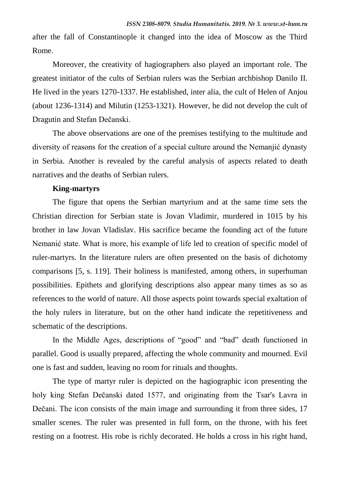after the fall of Constantinople it changed into the idea of Moscow as the Third Rome.

Moreover, the creativity of hagiographers also played an important role. The greatest initiator of the cults of Serbian rulers was the Serbian archbishop Danilo II. He lived in the years 1270-1337. He established, inter alia, the cult of Helen of Anjou (about 1236-1314) and Milutin (1253-1321). However, he did not develop the cult of Dragutin and Stefan Dečanski.

The above observations are one of the premises testifying to the multitude and diversity of reasons for the creation of a special culture around the Nemanjić dynasty in Serbia. Another is revealed by the careful analysis of aspects related to death narratives and the deaths of Serbian rulers.

#### **King-martyrs**

The figure that opens the Serbian martyrium and at the same time sets the Christian direction for Serbian state is Jovan Vladimir, murdered in 1015 by his brother in law Jovan Vladislav. His sacrifice became the founding act of the future Nemanić state. What is more, his example of life led to creation of specific model of ruler-martyrs. In the literature rulers are often presented on the basis of dichotomy comparisons [5, s. 119]. Their holiness is manifested, among others, in superhuman possibilities. Epithets and glorifying descriptions also appear many times as so as references to the world of nature. All those aspects point towards special exaltation of the holy rulers in literature, but on the other hand indicate the repetitiveness and schematic of the descriptions.

In the Middle Ages, descriptions of "good" and "bad" death functioned in parallel. Good is usually prepared, affecting the whole community and mourned. Evil one is fast and sudden, leaving no room for rituals and thoughts.

The type of martyr ruler is depicted on the hagiographic icon presenting the holy king Stefan Dečanski dated 1577, and originating from the Tsar's Lavra in Dečani. The icon consists of the main image and surrounding it from three sides, 17 smaller scenes. The ruler was presented in full form, on the throne, with his feet resting on a footrest. His robe is richly decorated. He holds a cross in his right hand,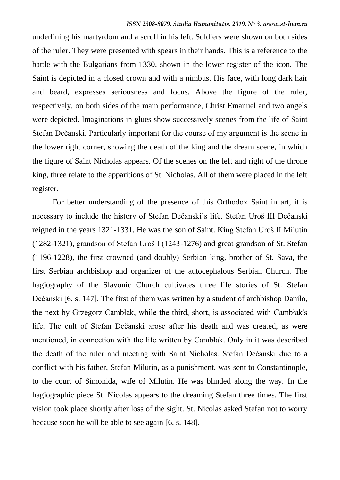underlining his martyrdom and a scroll in his left. Soldiers were shown on both sides of the ruler. They were presented with spears in their hands. This is a reference to the battle with the Bulgarians from 1330, shown in the lower register of the icon. The Saint is depicted in a closed crown and with a nimbus. His face, with long dark hair and beard, expresses seriousness and focus. Above the figure of the ruler, respectively, on both sides of the main performance, Christ Emanuel and two angels were depicted. Imaginations in glues show successively scenes from the life of Saint Stefan Dečanski. Particularly important for the course of my argument is the scene in the lower right corner, showing the death of the king and the dream scene, in which the figure of Saint Nicholas appears. Of the scenes on the left and right of the throne king, three relate to the apparitions of St. Nicholas. All of them were placed in the left register.

For better understanding of the presence of this Orthodox Saint in art, it is necessary to include the history of Stefan Dečanski's life. Stefan Uroš III Dečanski reigned in the years 1321-1331. He was the son of Saint. King Stefan Uroš II Milutin (1282-1321), grandson of Stefan Uroš I (1243-1276) and great-grandson of St. Stefan (1196-1228), the first crowned (and doubly) Serbian king, brother of St. Sava, the first Serbian archbishop and organizer of the autocephalous Serbian Church. The hagiography of the Slavonic Church cultivates three life stories of St. Stefan Dečanski [6, s. 147]. The first of them was written by a student of archbishop Danilo, the next by Grzegorz Cambłak, while the third, short, is associated with Cambłak's life. The cult of Stefan Dečanski arose after his death and was created, as were mentioned, in connection with the life written by Cambłak. Only in it was described the death of the ruler and meeting with Saint Nicholas. Stefan Dečanski due to a conflict with his father, Stefan Milutin, as a punishment, was sent to Constantinople, to the court of Simonida, wife of Milutin. He was blinded along the way. In the hagiographic piece St. Nicolas appears to the dreaming Stefan three times. The first vision took place shortly after loss of the sight. St. Nicolas asked Stefan not to worry because soon he will be able to see again [6, s. 148].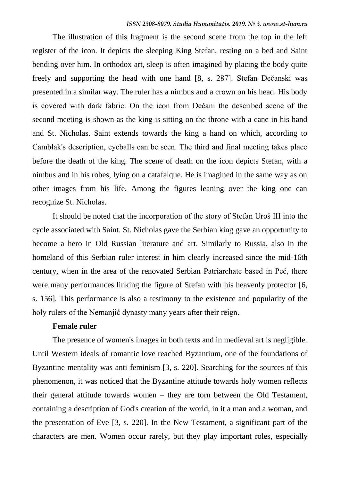The illustration of this fragment is the second scene from the top in the left register of the icon. It depicts the sleeping King Stefan, resting on a bed and Saint bending over him. In orthodox art, sleep is often imagined by placing the body quite freely and supporting the head with one hand [8, s. 287]. Stefan Dečanski was presented in a similar way. The ruler has a nimbus and a crown on his head. His body is covered with dark fabric. On the icon from Dečani the described scene of the second meeting is shown as the king is sitting on the throne with a cane in his hand and St. Nicholas. Saint extends towards the king a hand on which, according to Cambłak's description, eyeballs can be seen. The third and final meeting takes place before the death of the king. The scene of death on the icon depicts Stefan, with a nimbus and in his robes, lying on a catafalque. He is imagined in the same way as on other images from his life. Among the figures leaning over the king one can recognize St. Nicholas.

It should be noted that the incorporation of the story of Stefan Uroš III into the cycle associated with Saint. St. Nicholas gave the Serbian king gave an opportunity to become a hero in Old Russian literature and art. Similarly to Russia, also in the homeland of this Serbian ruler interest in him clearly increased since the mid-16th century, when in the area of the renovated Serbian Patriarchate based in Peć, there were many performances linking the figure of Stefan with his heavenly protector [6, s. 156]. This performance is also a testimony to the existence and popularity of the holy rulers of the Nemanjić dynasty many years after their reign.

#### **Female ruler**

The presence of women's images in both texts and in medieval art is negligible. Until Western ideals of romantic love reached Byzantium, one of the foundations of Byzantine mentality was anti-feminism [3, s. 220]. Searching for the sources of this phenomenon, it was noticed that the Byzantine attitude towards holy women reflects their general attitude towards women – they are torn between the Old Testament, containing a description of God's creation of the world, in it a man and a woman, and the presentation of Eve [3, s. 220]. In the New Testament, a significant part of the characters are men. Women occur rarely, but they play important roles, especially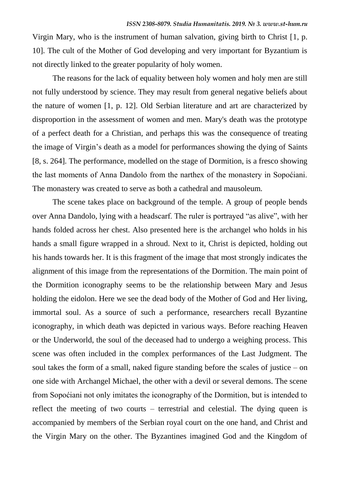Virgin Mary, who is the instrument of human salvation, giving birth to Christ [1, p. 10]. The cult of the Mother of God developing and very important for Byzantium is not directly linked to the greater popularity of holy women.

The reasons for the lack of equality between holy women and holy men are still not fully understood by science. They may result from general negative beliefs about the nature of women [1, p. 12]. Old Serbian literature and art are characterized by disproportion in the assessment of women and men. Mary's death was the prototype of a perfect death for a Christian, and perhaps this was the consequence of treating the image of Virgin's death as a model for performances showing the dying of Saints [8, s. 264]. The performance, modelled on the stage of Dormition, is a fresco showing the last moments of Anna Dandolo from the narthex of the monastery in Sopoćiani. The monastery was created to serve as both a cathedral and mausoleum.

The scene takes place on background of the temple. A group of people bends over Anna Dandolo, lying with a headscarf. The ruler is portrayed "as alive", with her hands folded across her chest. Also presented here is the archangel who holds in his hands a small figure wrapped in a shroud. Next to it, Christ is depicted, holding out his hands towards her. It is this fragment of the image that most strongly indicates the alignment of this image from the representations of the Dormition. The main point of the Dormition iconography seems to be the relationship between Mary and Jesus holding the eidolon. Here we see the dead body of the Mother of God and Her living, immortal soul. As a source of such a performance, researchers recall Byzantine iconography, in which death was depicted in various ways. Before reaching Heaven or the Underworld, the soul of the deceased had to undergo a weighing process. This scene was often included in the complex performances of the Last Judgment. The soul takes the form of a small, naked figure standing before the scales of justice – on one side with Archangel Michael, the other with a devil or several demons. The scene from Sopoćiani not only imitates the iconography of the Dormition, but is intended to reflect the meeting of two courts – terrestrial and celestial. The dying queen is accompanied by members of the Serbian royal court on the one hand, and Christ and the Virgin Mary on the other. The Byzantines imagined God and the Kingdom of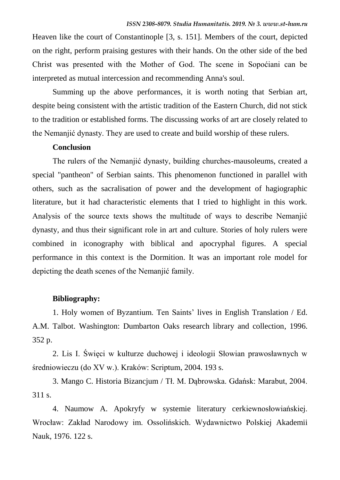Heaven like the court of Constantinople [3, s. 151]. Members of the court, depicted on the right, perform praising gestures with their hands. On the other side of the bed Christ was presented with the Mother of God. The scene in Sopoćiani can be interpreted as mutual intercession and recommending Anna's soul.

Summing up the above performances, it is worth noting that Serbian art, despite being consistent with the artistic tradition of the Eastern Church, did not stick to the tradition or established forms. The discussing works of art are closely related to the Nemanjić dynasty. They are used to create and build worship of these rulers.

### **Conclusion**

The rulers of the Nemanjić dynasty, building churches-mausoleums, created a special "pantheon" of Serbian saints. This phenomenon functioned in parallel with others, such as the sacralisation of power and the development of hagiographic literature, but it had characteristic elements that I tried to highlight in this work. Analysis of the source texts shows the multitude of ways to describe Nemanjić dynasty, and thus their significant role in art and culture. Stories of holy rulers were combined in iconography with biblical and apocryphal figures. A special performance in this context is the Dormition. It was an important role model for depicting the death scenes of the Nemanjić family.

### **Bibliography:**

1. Holy women of Byzantium. Ten Saints' lives in English Translation / Ed. A.M. Talbot. Washington: Dumbarton Oaks research library and collection, 1996. 352 p.

2. Lis I. Święci w kulturze duchowej i ideologii Słowian prawosławnych w średniowieczu (do XV w.). Kraków: Scriptum, 2004. 193 s.

3. Mango C. Historia Bizancjum / Tł. M. Dąbrowska. Gdańsk: Marabut, 2004. 311 s.

4. Naumow A. Apokryfy w systemie literatury cerkiewnosłowiańskiej. Wrocław: Zakład Narodowy im. Ossolińskich. Wydawnictwo Polskiej Akademii Nauk, 1976. 122 s.